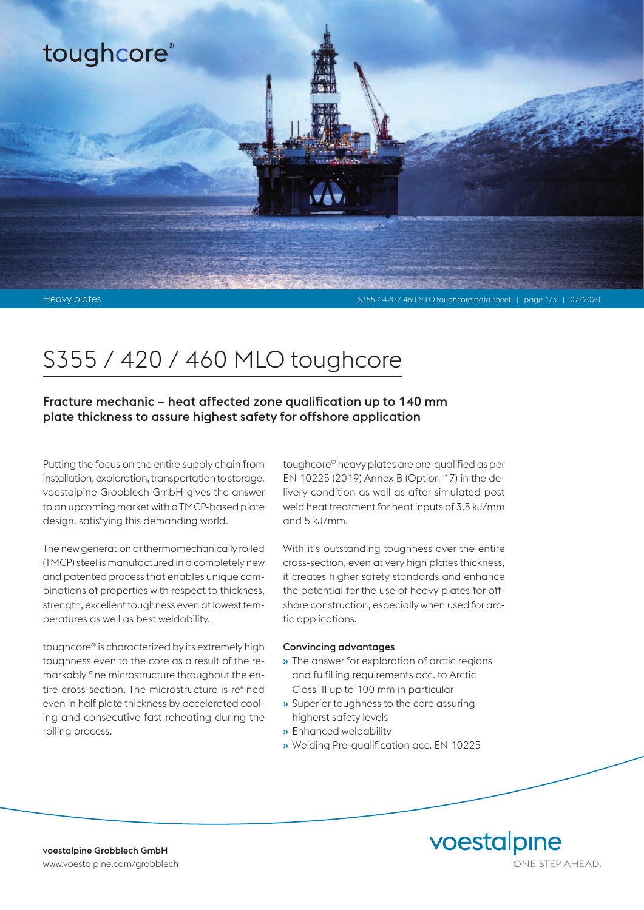

# S355 / 420 / 460 MLO toughcore

Fracture mechanic – heat affected zone qualification up to 140 mm plate thickness to assure highest safety for offshore application

Putting the focus on the entire supply chain from installation, exploration, transportation to storage, voestalpine Grobblech GmbH gives the answer to an upcoming market with a TMCP-based plate design, satisfying this demanding world.

The new generation of thermomechanically rolled (TMCP) steel is manufactured in a completely new and patented process that enables unique combinations of properties with respect to thickness, strength, excellent toughness even at lowest temperatures as well as best weldability.

toughcore® is characterized by its extremely high toughness even to the core as a result of the remarkably fine microstructure throughout the entire cross-section. The microstructure is refined even in half plate thickness by accelerated cooling and consecutive fast reheating during the rolling process.

toughcore® heavy plates are pre-qualified as per EN 10225 (2019) Annex B (Option 17) in the delivery condition as well as after simulated post weld heat treatment for heat inputs of 3.5 kJ/mm and 5 kJ/mm.

With it's outstanding toughness over the entire cross-section, even at very high plates thickness, it creates higher safety standards and enhance the potential for the use of heavy plates for offshore construction, especially when used for arctic applications.

### Convincing advantages

- » The answer for exploration of arctic regions and fulfilling requirements acc. to Arctic Class III up to 100 mm in particular
- » Superior toughness to the core assuring higherst safety levels
- » Enhanced weldability
- » Welding Pre-qualification acc. EN 10225

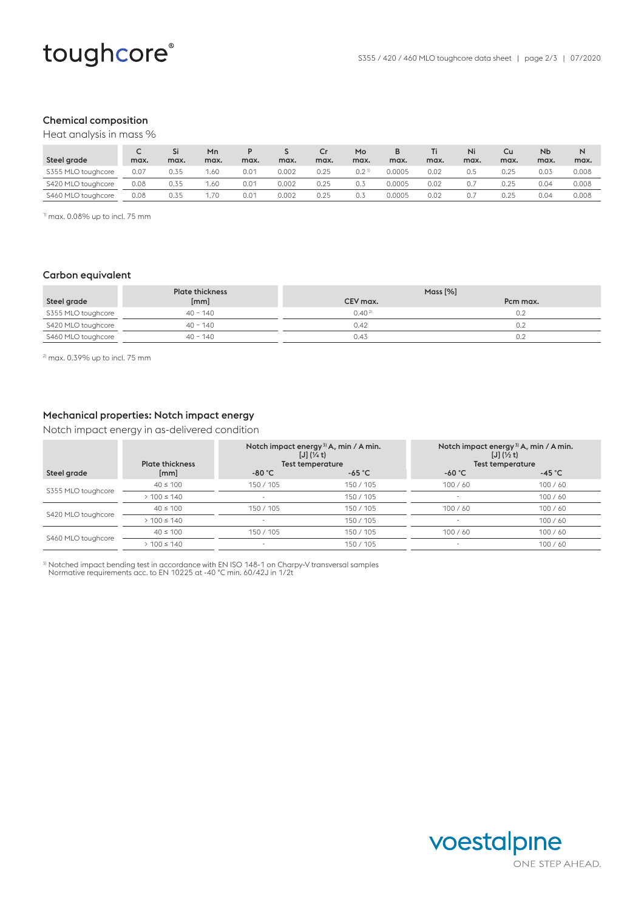## Chemical composition

Heat analysis in mass %

|                    |      | Si   | Mn   |      |       |      | Mo               | в      |      | Ni   | Cu   | N <sub>b</sub> | N     |
|--------------------|------|------|------|------|-------|------|------------------|--------|------|------|------|----------------|-------|
| Steel grade        | max. | max. | max. | max. | max.  | max. | max.             | max.   | max. | max. | max. | max.           | max.  |
| S355 MLO toughcore | 0.07 | 0.35 | 1.60 | 0.01 | 0.002 | 0.25 | 0.2 <sup>1</sup> | 0.0005 | 0.02 | 0.5  | 0.25 | 0.03           | 0.008 |
| S420 MLO toughcore | 0.08 | 0.35 | 1.60 | 0.01 | 0.002 | 0.25 | 0.3              | 0.0005 | 0.02 |      | 0.25 | 0.04           | 0.008 |
| S460 MLO toughcore | 0.08 | 0.35 | 1.70 | 0.01 | 0.002 | 0.25 | 0.3              | 0.0005 | 0.02 |      | 0.25 | 0.04           | 0.008 |

 $1$ <sup>1)</sup> max. 0.08% up to incl. 75 mm

#### Carbon equivalent

|                    | <b>Plate thickness</b> | Mass $[%]$  |          |
|--------------------|------------------------|-------------|----------|
| Steel grade        | [mm]                   | CEV max.    | Pcm max. |
| S355 MLO toughcore | $40 - 140$             | $0.40^{21}$ | 0.2      |
| S420 MLO toughcore | $40 - 140$             | 0.42        | 0.2      |
| S460 MLO toughcore | $40 - 140$             | 0.43        | 0.2      |

2) max. 0.39% up to incl. 75 mm

## Mechanical properties: Notch impact energy

Notch impact energy in as-delivered condition

| <b>Plate thickness</b> |           |          | Notch impact energy $3$ A <sub>v</sub> min / A min.<br>$[J]$ $(\frac{1}{2}t)$<br><b>Test temperature</b>          |                  |  |
|------------------------|-----------|----------|-------------------------------------------------------------------------------------------------------------------|------------------|--|
| [mm]                   | $-80 °C$  | $-65 °C$ | $-60 °C$                                                                                                          | -45 $^{\circ}$ C |  |
| $40 \le 100$           | 150 / 105 | 150/105  | 100/60                                                                                                            | 100/60           |  |
| $> 100 \le 140$        |           | 150/105  |                                                                                                                   | 100/60           |  |
| $40 \le 100$           | 150/105   | 150/105  | 100/60                                                                                                            | 100/60           |  |
| $> 100 \le 140$        | $\sim$    | 150/105  |                                                                                                                   | 100/60           |  |
| $40 \le 100$           | 150/105   | 150/105  | 100/60                                                                                                            | 100/60           |  |
| $> 100 \le 140$        | ٠         | 150/105  | $\overline{\phantom{a}}$                                                                                          | 100/60           |  |
|                        |           |          | Notch impact energy <sup>3</sup> A <sub>v</sub> min / A min.<br>$[J]$ $(\frac{1}{4}t)$<br><b>Test temperature</b> |                  |  |

3) Notched impact bending test in accordance with EN ISO 148-1 on Charpy-V transversal samples Normative requirements acc. to EN 10225 at -40 °C min. 60/42J in 1/2t